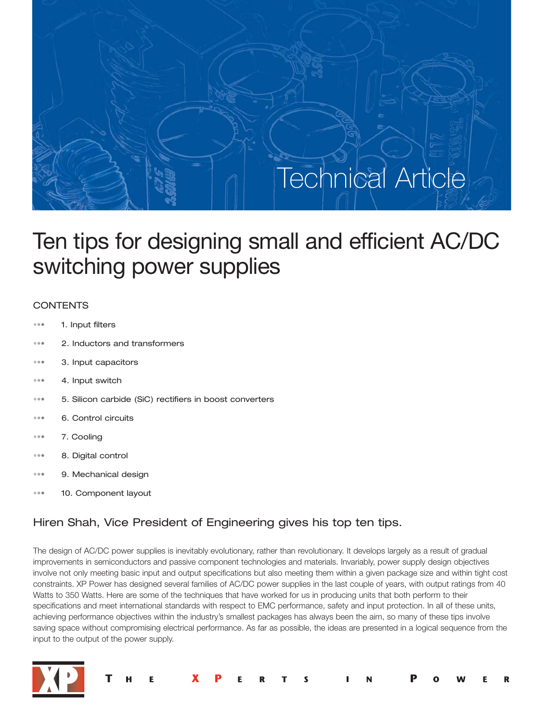# Technical Article

## Ten tips for designing small and efficient AC/DC switching power supplies

### **CONTENTS**

- ••• 1. Input filters
- ••• 2. Inductors and transformers
- ••• 3. Input capacitors
- ••• 4. Input switch
- ••• 5. Silicon carbide (SiC) rectifiers in boost converters
- ••• 6. Control circuits
- ••• 7. Cooling
- ••• 8. Digital control
- ••• 9. Mechanical design
- 10. Component layout

## Hiren Shah, Vice President of Engineering gives his top ten tips.

The design of AC/DC power supplies is inevitably evolutionary, rather than revolutionary. It develops largely as a result of gradual improvements in semiconductors and passive component technologies and materials. Invariably, power supply design objectives involve not only meeting basic input and output specifications but also meeting them within a given package size and within tight cost constraints. XP Power has designed several families of AC/DC power supplies in the last couple of years, with output ratings from 40 Watts to 350 Watts. Here are some of the techniques that have worked for us in producing units that both perform to their specifications and meet international standards with respect to EMC performance, safety and input protection. In all of these units, achieving performance objectives within the industry's smallest packages has always been the aim, so many of these tips involve saving space without compromising electrical performance. As far as possible, the ideas are presented in a logical sequence from the input to the output of the power supply.

S

R

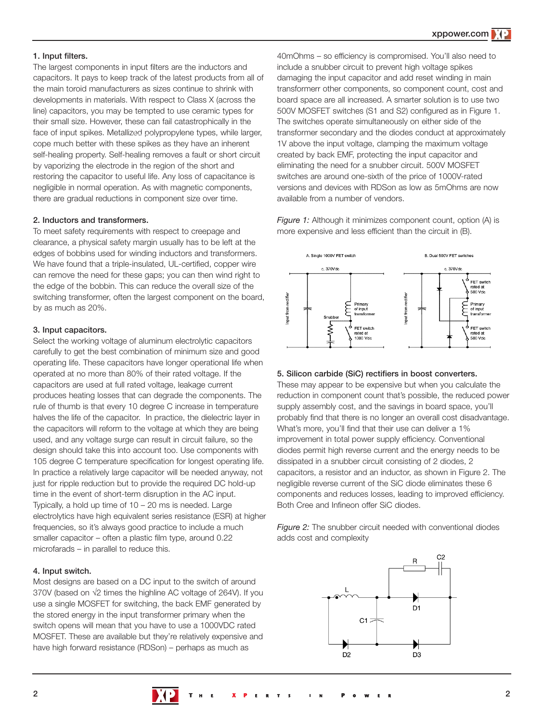#### **1. Input filters.**

The largest components in input filters are the inductors and capacitors. It pays to keep track of the latest products from all of the main toroid manufacturers as sizes continue to shrink with developments in materials. With respect to Class X (across the line) capacitors, you may be tempted to use ceramic types for their small size. However, these can fail catastrophically in the face of input spikes. Metallized polypropylene types, while larger, cope much better with these spikes as they have an inherent self-healing property. Self-healing removes a fault or short circuit by vaporizing the electrode in the region of the short and restoring the capacitor to useful life. Any loss of capacitance is negligible in normal operation. As with magnetic components, there are gradual reductions in component size over time.

#### **2. Inductors and transformers.**

To meet safety requirements with respect to creepage and clearance, a physical safety margin usually has to be left at the edges of bobbins used for winding inductors and transformers. We have found that a triple-insulated, UL-certified, copper wire can remove the need for these gaps; you can then wind right to the edge of the bobbin. This can reduce the overall size of the switching transformer, often the largest component on the board, by as much as 20%.

#### **3. Input capacitors.**

Select the working voltage of aluminum electrolytic capacitors carefully to get the best combination of minimum size and good operating life. These capacitors have longer operational life when operated at no more than 80% of their rated voltage. If the capacitors are used at full rated voltage, leakage current produces heating losses that can degrade the components. The rule of thumb is that every 10 degree C increase in temperature halves the life of the capacitor. In practice, the dielectric layer in the capacitors will reform to the voltage at which they are being used, and any voltage surge can result in circuit failure, so the design should take this into account too. Use components with 105 degree C temperature specification for longest operating life. In practice a relatively large capacitor will be needed anyway, not just for ripple reduction but to provide the required DC hold-up time in the event of short-term disruption in the AC input. Typically, a hold up time of 10 – 20 ms is needed. Large electrolytics have high equivalent series resistance (ESR) at higher frequencies, so it's always good practice to include a much smaller capacitor – often a plastic film type, around 0.22 microfarads – in parallel to reduce this.

#### **4. Input switch.**

Most designs are based on a DC input to the switch of around 370V (based on √2 times the highline AC voltage of 264V). If you use a single MOSFET for switching, the back EMF generated by the stored energy in the input transformer primary when the switch opens will mean that you have to use a 1000VDC rated MOSFET. These are available but they're relatively expensive and have high forward resistance (RDSon) – perhaps as much as

40mOhms – so efficiency is compromised. You'll also need to include a snubber circuit to prevent high voltage spikes damaging the input capacitor and add reset winding in main transformerr other components, so component count, cost and board space are all increased. A smarter solution is to use two 500V MOSFET switches (S1 and S2) configured as in Figure 1. The switches operate simultaneously on either side of the transformer secondary and the diodes conduct at approximately 1V above the input voltage, clamping the maximum voltage created by back EMF, protecting the input capacitor and eliminating the need for a snubber circuit. 500V MOSFET switches are around one-sixth of the price of 1000V-rated versions and devices with RDSon as low as 5mOhms are now available from a number of vendors.

*Figure 1:* Although it minimizes component count, option (A) is more expensive and less efficient than the circuit in (B).



#### **5. Silicon carbide (SiC) rectifiers in boost converters.**

These may appear to be expensive but when you calculate the reduction in component count that's possible, the reduced power supply assembly cost, and the savings in board space, you'll probably find that there is no longer an overall cost disadvantage. What's more, you'll find that their use can deliver a 1% improvement in total power supply efficiency. Conventional diodes permit high reverse current and the energy needs to be dissipated in a snubber circuit consisting of 2 diodes, 2 capacitors, a resistor and an inductor, as shown in Figure 2. The negligible reverse current of the SiC diode eliminates these 6 components and reduces losses, leading to improved efficiency. Both Cree and Infineon offer SiC diodes.

*Figure 2:* The snubber circuit needed with conventional diodes adds cost and complexity

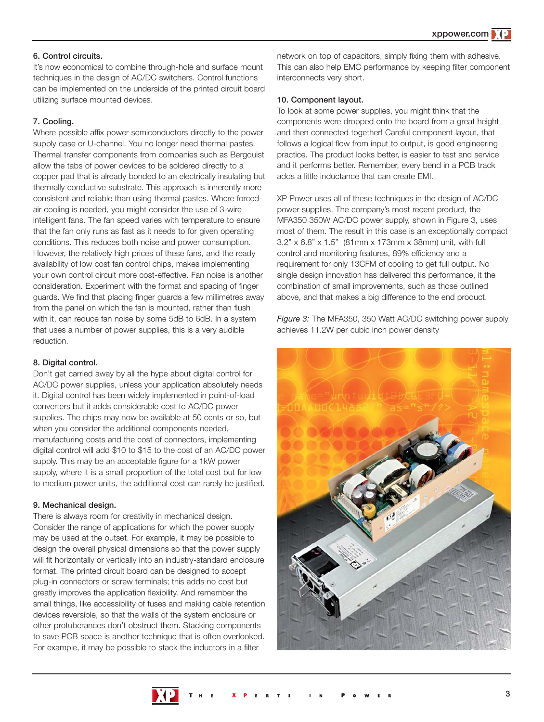#### **6. Control circuits.**

It's now economical to combine through-hole and surface mount techniques in the design of AC/DC switchers. Control functions can be implemented on the underside of the printed circuit board utilizing surface mounted devices.

#### **7. Cooling.**

Where possible affix power semiconductors directly to the power supply case or U-channel. You no longer need thermal pastes. Thermal transfer components from companies such as Bergquist allow the tabs of power devices to be soldered directly to a copper pad that is already bonded to an electrically insulating but thermally conductive substrate. This approach is inherently more consistent and reliable than using thermal pastes. Where forcedair cooling is needed, you might consider the use of 3-wire intelligent fans. The fan speed varies with temperature to ensure that the fan only runs as fast as it needs to for given operating conditions. This reduces both noise and power consumption. However, the relatively high prices of these fans, and the ready availability of low cost fan control chips, makes implementing your own control circuit more cost-effective. Fan noise is another consideration. Experiment with the format and spacing of finger guards. We find that placing finger guards a few millimetres away from the panel on which the fan is mounted, rather than flush with it, can reduce fan noise by some 5dB to 6dB. In a system that uses a number of power supplies, this is a very audible reduction.

#### **8. Digital control.**

Don't get carried away by all the hype about digital control for AC/DC power supplies, unless your application absolutely needs it. Digital control has been widely implemented in point-of-load converters but it adds considerable cost to AC/DC power supplies. The chips may now be available at 50 cents or so, but when you consider the additional components needed, manufacturing costs and the cost of connectors, implementing digital control will add \$10 to \$15 to the cost of an AC/DC power supply. This may be an acceptable figure for a 1kW power supply, where it is a small proportion of the total cost but for low to medium power units, the additional cost can rarely be justified.

#### **9. Mechanical design.**

There is always room for creativity in mechanical design. Consider the range of applications for which the power supply may be used at the outset. For example, it may be possible to design the overall physical dimensions so that the power supply will fit horizontally or vertically into an industry-standard enclosure format. The printed circuit board can be designed to accept plug-in connectors or screw terminals; this adds no cost but greatly improves the application flexibility. And remember the small things, like accessibility of fuses and making cable retention devices reversible, so that the walls of the system enclosure or other protuberances don't obstruct them. Stacking components to save PCB space is another technique that is often overlooked. For example, it may be possible to stack the inductors in a filter

network on top of capacitors, simply fixing them with adhesive. This can also help EMC performance by keeping filter component interconnects very short.

#### **10. Component layout.**

To look at some power supplies, you might think that the components were dropped onto the board from a great height and then connected together! Careful component layout, that follows a logical flow from input to output, is good engineering practice. The product looks better, is easier to test and service and it performs better. Remember, every bend in a PCB track adds a little inductance that can create EMI.

XP Power uses all of these techniques in the design of AC/DC power supplies. The company's most recent product, the MFA350 350W AC/DC power supply, shown in Figure 3, uses most of them. The result in this case is an exceptionally compact 3.2" x 6.8" x 1.5" (81mm x 173mm x 38mm) unit, with full control and monitoring features, 89% efficiency and a requirement for only 13CFM of cooling to get full output. No single design innovation has delivered this performance, it the combination of small improvements, such as those outlined above, and that makes a big difference to the end product.

*Figure 3:* The MFA350, 350 Watt AC/DC switching power supply achieves 11.2W per cubic inch power density